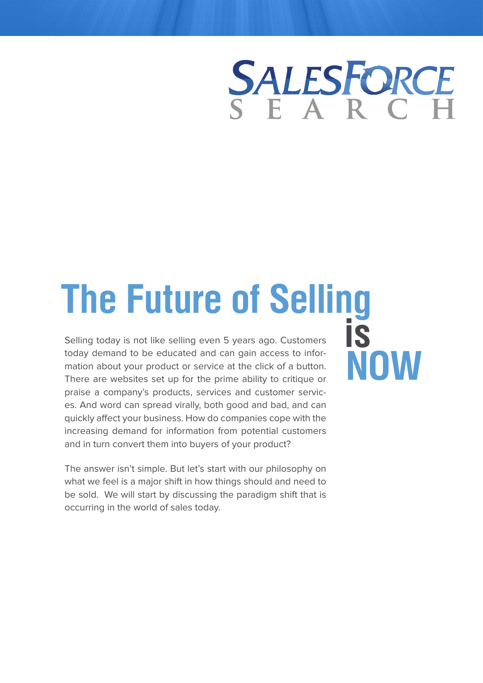

**NOW**

# **The Future of Selling (New Selling today is not like selling even 5 years ago. Customers IS**

Selling today is not like selling even 5 years ago. Customers today demand to be educated and can gain access to information about your product or service at the click of a button. There are websites set up for the prime ability to critique or praise a company's products, services and customer services. And word can spread virally, both good and bad, and can quickly affect your business. How do companies cope with the increasing demand for information from potential customers and in turn convert them into buyers of your product?

The answer isn't simple. But let's start with our philosophy on what we feel is a major shift in how things should and need to be sold. We will start by discussing the paradigm shift that is occurring in the world of sales today.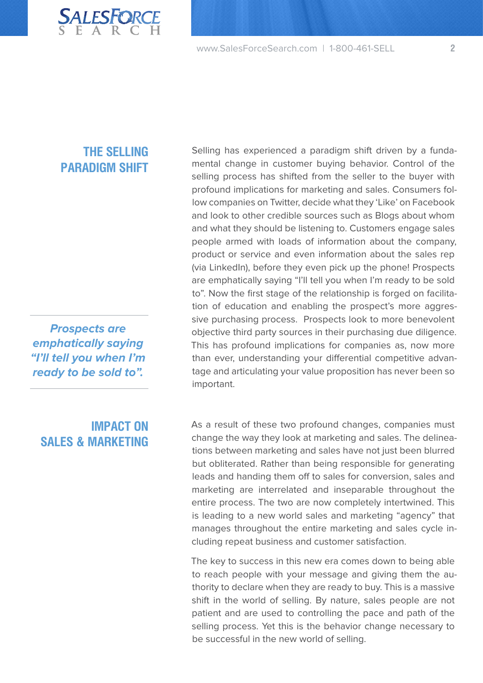

### **THE SELLING PARADIGM SHIFT**

**Prospects are emphatically saying "I'll tell you when I'm ready to be sold to".**

### **IMPACT ON SALES & MARKETING**

Selling has experienced a paradigm shift driven by a fundamental change in customer buying behavior. Control of the selling process has shifted from the seller to the buyer with profound implications for marketing and sales. Consumers follow companies on Twitter, decide what they 'Like' on Facebook and look to other credible sources such as Blogs about whom and what they should be listening to. Customers engage sales people armed with loads of information about the company, product or service and even information about the sales rep (via LinkedIn), before they even pick up the phone! Prospects are emphatically saying "I'll tell you when I'm ready to be sold to". Now the first stage of the relationship is forged on facilitation of education and enabling the prospect's more aggressive purchasing process. Prospects look to more benevolent objective third party sources in their purchasing due diligence. This has profound implications for companies as, now more than ever, understanding your differential competitive advantage and articulating your value proposition has never been so important.

As a result of these two profound changes, companies must change the way they look at marketing and sales. The delineations between marketing and sales have not just been blurred but obliterated. Rather than being responsible for generating leads and handing them off to sales for conversion, sales and marketing are interrelated and inseparable throughout the entire process. The two are now completely intertwined. This is leading to a new world sales and marketing "agency" that manages throughout the entire marketing and sales cycle including repeat business and customer satisfaction.

The key to success in this new era comes down to being able to reach people with your message and giving them the authority to declare when they are ready to buy. This is a massive shift in the world of selling. By nature, sales people are not patient and are used to controlling the pace and path of the selling process. Yet this is the behavior change necessary to be successful in the new world of selling.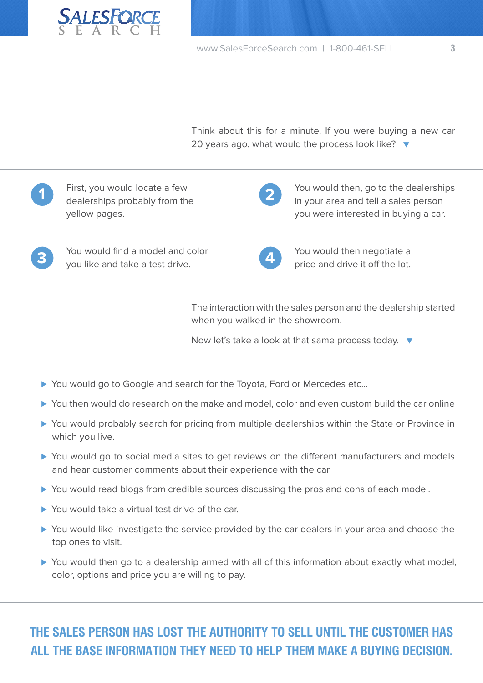

Think about this for a minute. If you were buying a new car 20 years ago, what would the process look like? ▼



First, you would locate a few dealerships probably from the yellow pages.



You would then, go to the dealerships in your area and tell a sales person you were interested in buying a car.



You would find a model and color you like and take a test drive.



You would then negotiate a price and drive it off the lot.

The interaction with the sales person and the dealership started when you walked in the showroom.

Now let's take a look at that same process today.  $\bullet$ 

- ► You would go to Google and search for the Toyota, Ford or Mercedes etc...
- ▶ You then would do research on the make and model, color and even custom build the car online
- ▶ You would probably search for pricing from multiple dealerships within the State or Province in which you live.
- ▶ You would go to social media sites to get reviews on the different manufacturers and models and hear customer comments about their experience with the car
- ► You would read blogs from credible sources discussing the pros and cons of each model.
- ▶ You would take a virtual test drive of the car.
- ► You would like investigate the service provided by the car dealers in your area and choose the top ones to visit.
- ► You would then go to a dealership armed with all of this information about exactly what model, color, options and price you are willing to pay.

### **THE SALES PERSON HAS LOST THE AUTHORITY TO SELL UNTIL THE CUSTOMER HAS ALL THE BASE INFORMATION THEY NEED TO HELP THEM MAKE A BUYING DECISION.**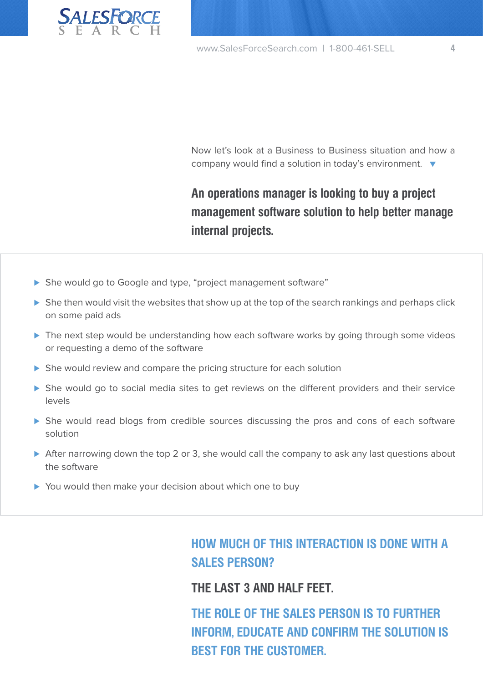

Now let's look at a Business to Business situation and how a company would find a solution in today's environment. ▼

**An operations manager is looking to buy a project management software solution to help better manage internal projects.**

- ▶ She would go to Google and type, "project management software"
- ► She then would visit the websites that show up at the top of the search rankings and perhaps click on some paid ads
- ▶ The next step would be understanding how each software works by going through some videos or requesting a demo of the software
- ► She would review and compare the pricing structure for each solution
- ▶ She would go to social media sites to get reviews on the different providers and their service levels
- ► She would read blogs from credible sources discussing the pros and cons of each software solution
- ► After narrowing down the top 2 or 3, she would call the company to ask any last questions about the software
- ▶ You would then make your decision about which one to buy

**HOW MUCH OF THIS INTERACTION IS DONE WITH A SALES PERSON?**

### **THE LAST 3 AND HALF FEET.**

**THE ROLE OF THE SALES PERSON IS TO FURTHER INFORM, EDUCATE AND CONFIRM THE SOLUTION IS BEST FOR THE CUSTOMER.**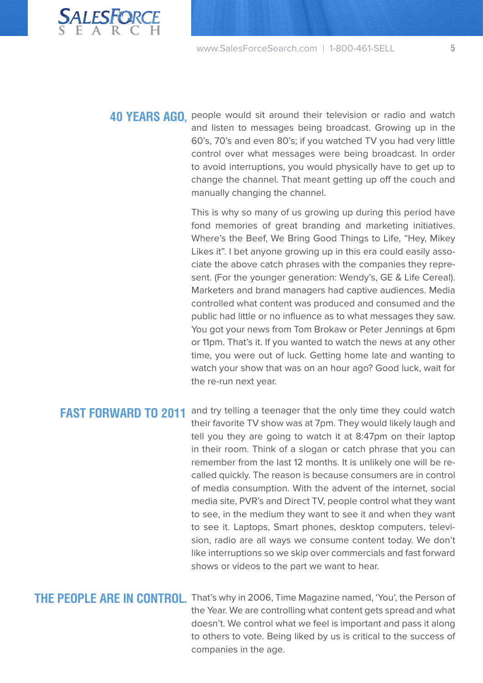

**40 YEARS AGO**, people would sit around their television or radio and watch and listen to messages being broadcast. Growing up in the 60's, 70's and even 80's; if you watched TV you had very little control over what messages were being broadcast. In order to avoid interruptions, you would physically have to get up to change the channel. That meant getting up off the couch and manually changing the channel.

> This is why so many of us growing up during this period have fond memories of great branding and marketing initiatives. Where's the Beef, We Bring Good Things to Life, "Hey, Mikey Likes it". I bet anyone growing up in this era could easily associate the above catch phrases with the companies they represent. (For the younger generation: Wendy's, GE & Life Cereal). Marketers and brand managers had captive audiences. Media controlled what content was produced and consumed and the public had little or no influence as to what messages they saw. You got your news from Tom Brokaw or Peter Jennings at 6pm or 11pm. That's it. If you wanted to watch the news at any other time, you were out of luck. Getting home late and wanting to watch your show that was on an hour ago? Good luck, wait for the re-run next year.

and try telling a teenager that the only time they could watch their favorite TV show was at 7pm. They would likely laugh and tell you they are going to watch it at 8:47pm on their laptop in their room. Think of a slogan or catch phrase that you can remember from the last 12 months. It is unlikely one will be recalled quickly. The reason is because consumers are in control of media consumption. With the advent of the internet, social media site, PVR's and Direct TV, people control what they want to see, in the medium they want to see it and when they want to see it. Laptops, Smart phones, desktop computers, television, radio are all ways we consume content today. We don't like interruptions so we skip over commercials and fast forward shows or videos to the part we want to hear. **FAST FORWARD TO 2011** 

**THE PEOPLE ARE IN CONTROL.** That's why in 2006, Time Magazine named, 'You', the Person of the Year. We are controlling what content gets spread and what doesn't. We control what we feel is important and pass it along to others to vote. Being liked by us is critical to the success of companies in the age.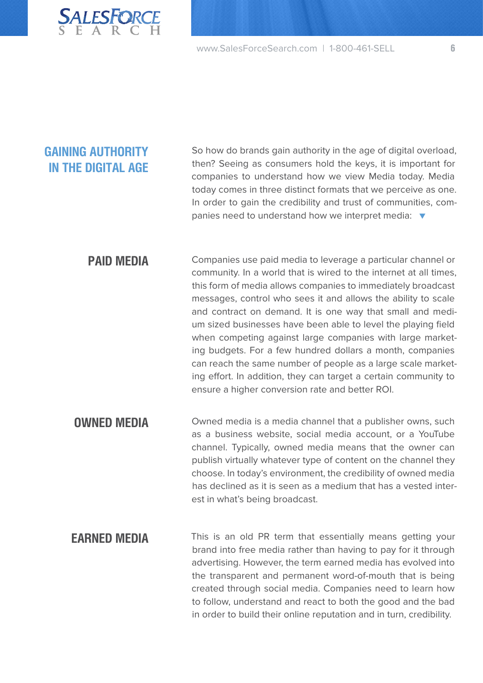

### **GAINING AUTHORITY IN THE DIGITAL AGE**

So how do brands gain authority in the age of digital overload, then? Seeing as consumers hold the keys, it is important for companies to understand how we view Media today. Media today comes in three distinct formats that we perceive as one. In order to gain the credibility and trust of communities, companies need to understand how we interpret media: ▼

### **PAID MEDIA**

Companies use paid media to leverage a particular channel or community. In a world that is wired to the internet at all times, this form of media allows companies to immediately broadcast messages, control who sees it and allows the ability to scale and contract on demand. It is one way that small and medium sized businesses have been able to level the playing field when competing against large companies with large marketing budgets. For a few hundred dollars a month, companies can reach the same number of people as a large scale marketing effort. In addition, they can target a certain community to ensure a higher conversion rate and better ROI.

- **OWNED MEDIA** Owned media is a media channel that a publisher owns, such as a business website, social media account, or a YouTube channel. Typically, owned media means that the owner can publish virtually whatever type of content on the channel they choose. In today's environment, the credibility of owned media has declined as it is seen as a medium that has a vested interest in what's being broadcast.
- **EARNED MEDIA** This is an old PR term that essentially means getting your brand into free media rather than having to pay for it through advertising. However, the term earned media has evolved into the transparent and permanent word-of-mouth that is being created through social media. Companies need to learn how to follow, understand and react to both the good and the bad in order to build their online reputation and in turn, credibility.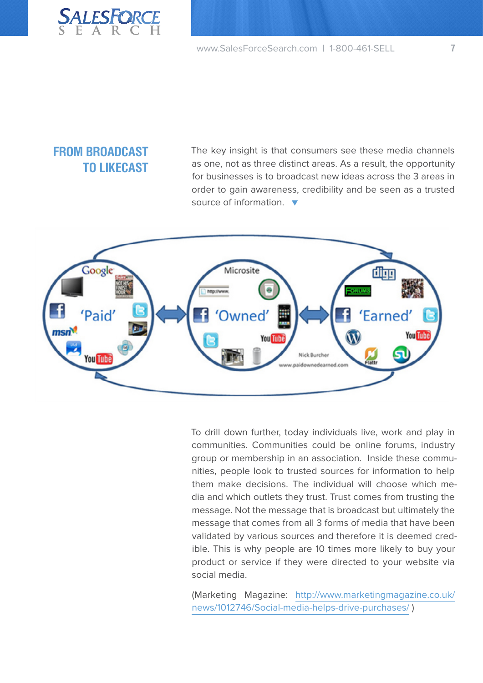

### **FROM BROADCAST TO LIKECAST**

The key insight is that consumers see these media channels as one, not as three distinct areas. As a result, the opportunity for businesses is to broadcast new ideas across the 3 areas in order to gain awareness, credibility and be seen as a trusted source of information. ▼



To drill down further, today individuals live, work and play in communities. Communities could be online forums, industry group or membership in an association. Inside these communities, people look to trusted sources for information to help them make decisions. The individual will choose which media and which outlets they trust. Trust comes from trusting the message. Not the message that is broadcast but ultimately the message that comes from all 3 forms of media that have been validated by various sources and therefore it is deemed credible. This is why people are 10 times more likely to buy your product or service if they were directed to your website via social media.

(Marketing Magazine: [http://www.marketingmagazine.co.uk/](http://www.marketingmagazine.co.uk/news/1012746/Social-media-helps-drive-purchases/) [news/1012746/Social-media-helps-drive-purchases/](http://www.marketingmagazine.co.uk/news/1012746/Social-media-helps-drive-purchases/) )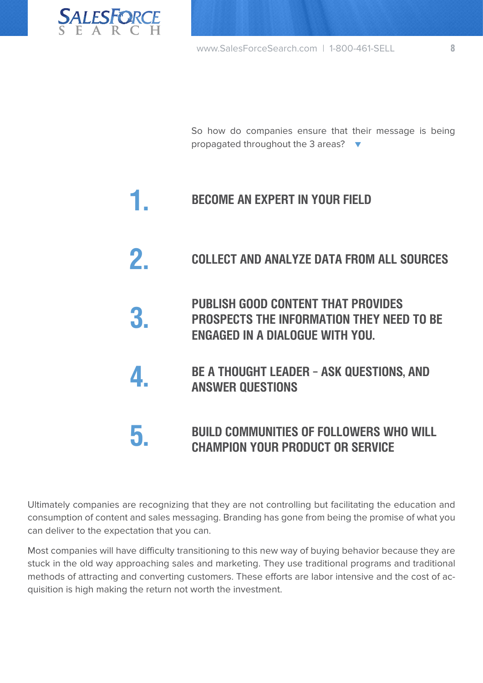

So how do companies ensure that their message is being propagated throughout the 3 areas? ▼

## **1. BECOME AN EXPERT IN YOUR FIELD**

- **2. COLLECT AND ANALYZE DATA FROM ALL SOURCES**
- **3. PUBLISH GOOD CONTENT THAT PROVIDES PROSPECTS THE INFORMATION THEY NEED TO BE ENGAGED IN A DIALOGUE WITH YOU.**
- **4. BE A THOUGHT LEADER – ASK QUESTIONS, AND ANSWER QUESTIONS**

### **5. BUILD COMMUNITIES OF FOLLOWERS WHO WILL CHAMPION YOUR PRODUCT OR SERVICE**

Ultimately companies are recognizing that they are not controlling but facilitating the education and consumption of content and sales messaging. Branding has gone from being the promise of what you can deliver to the expectation that you can.

Most companies will have difficulty transitioning to this new way of buying behavior because they are stuck in the old way approaching sales and marketing. They use traditional programs and traditional methods of attracting and converting customers. These efforts are labor intensive and the cost of acquisition is high making the return not worth the investment.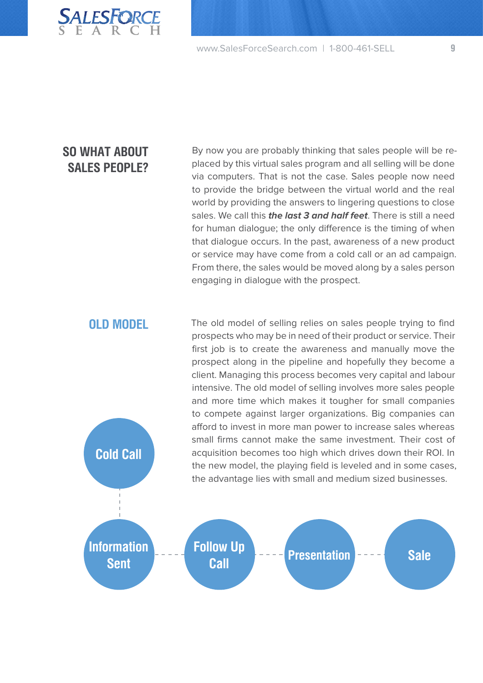

### **SO WHAT ABOUT SALES PEOPLE?**

By now you are probably thinking that sales people will be replaced by this virtual sales program and all selling will be done via computers. That is not the case. Sales people now need to provide the bridge between the virtual world and the real world by providing the answers to lingering questions to close sales. We call this **the last 3 and half feet**. There is still a need for human dialogue; the only difference is the timing of when that dialogue occurs. In the past, awareness of a new product or service may have come from a cold call or an ad campaign. From there, the sales would be moved along by a sales person engaging in dialogue with the prospect.

**OLD MODEL** The old model of selling relies on sales people trying to find prospects who may be in need of their product or service. Their first job is to create the awareness and manually move the prospect along in the pipeline and hopefully they become a client. Managing this process becomes very capital and labour intensive. The old model of selling involves more sales people and more time which makes it tougher for small companies to compete against larger organizations. Big companies can afford to invest in more man power to increase sales whereas small firms cannot make the same investment. Their cost of acquisition becomes too high which drives down their ROI. In the new model, the playing field is leveled and in some cases, the advantage lies with small and medium sized businesses. **Cold Call**

**Information Sent**

**Follow Up** 

**Call Presentation Presentation Presentation** 

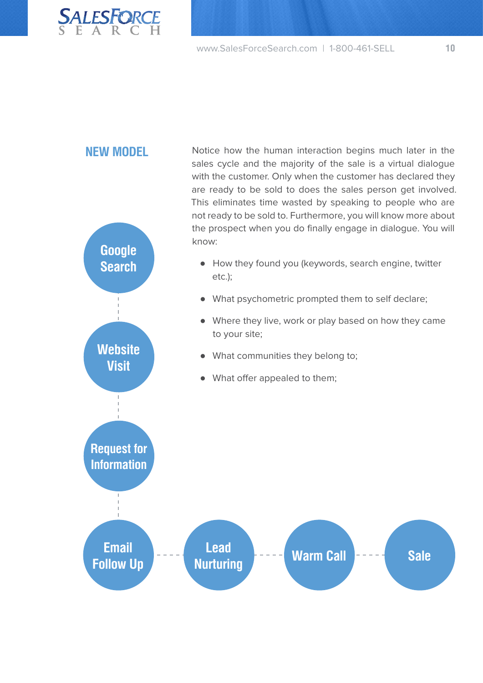

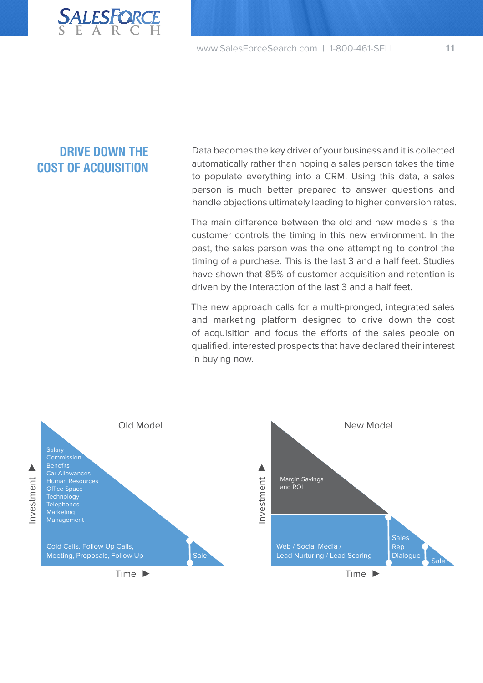

### **DRIVE DOWN THE COST OF ACQUISITION**

Data becomes the key driver of your business and it is collected automatically rather than hoping a sales person takes the time to populate everything into a CRM. Using this data, a sales person is much better prepared to answer questions and handle objections ultimately leading to higher conversion rates.

The main difference between the old and new models is the customer controls the timing in this new environment. In the past, the sales person was the one attempting to control the timing of a purchase. This is the last 3 and a half feet. Studies have shown that 85% of customer acquisition and retention is driven by the interaction of the last 3 and a half feet.

The new approach calls for a multi-pronged, integrated sales and marketing platform designed to drive down the cost of acquisition and focus the efforts of the sales people on qualified, interested prospects that have declared their interest in buying now.

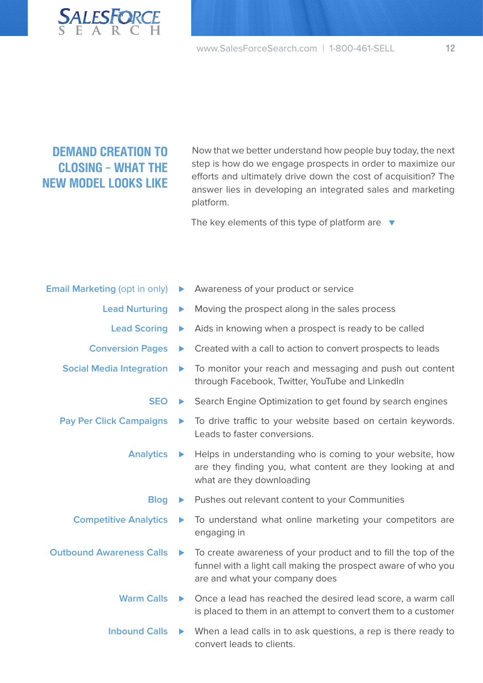

### **DEMAND CREATION TO CLOSING – WHAT THE NEW MODEL LOOKS LIKE**

Now that we better understand how people buy today, the next step is how do we engage prospects in order to maximize our efforts and ultimately drive down the cost of acquisition? The answer lies in developing an integrated sales and marketing platform.

The key elements of this type of platform are ▼

| <b>Email Marketing (opt in only)</b> | Þ.                    | Awareness of your product or service                                                                                                                              |
|--------------------------------------|-----------------------|-------------------------------------------------------------------------------------------------------------------------------------------------------------------|
| <b>Lead Nurturing</b>                | $\blacktriangleright$ | Moving the prospect along in the sales process                                                                                                                    |
| <b>Lead Scoring</b>                  | ▶                     | Aids in knowing when a prospect is ready to be called                                                                                                             |
| <b>Conversion Pages</b>              | ▶                     | Created with a call to action to convert prospects to leads                                                                                                       |
| <b>Social Media Integration</b>      | $\blacktriangleright$ | To monitor your reach and messaging and push out content<br>through Facebook, Twitter, YouTube and LinkedIn                                                       |
| <b>SEO</b>                           | Þ.                    | Search Engine Optimization to get found by search engines                                                                                                         |
| <b>Pay Per Click Campaigns</b>       | $\blacktriangleright$ | To drive traffic to your website based on certain keywords.<br>Leads to faster conversions.                                                                       |
| <b>Analytics</b>                     | $\blacktriangleright$ | Helps in understanding who is coming to your website, how<br>are they finding you, what content are they looking at and<br>what are they downloading              |
| <b>Blog</b>                          | $\blacktriangleright$ | Pushes out relevant content to your Communities                                                                                                                   |
| <b>Competitive Analytics</b>         | ▶                     | To understand what online marketing your competitors are<br>engaging in                                                                                           |
| <b>Outbound Awareness Calls</b>      | Þ.                    | To create awareness of your product and to fill the top of the<br>funnel with a light call making the prospect aware of who you<br>are and what your company does |
| <b>Warm Calls</b>                    | $\blacktriangleright$ | Once a lead has reached the desired lead score, a warm call<br>is placed to them in an attempt to convert them to a customer                                      |
| <b>Inbound Calls</b>                 | ▶                     | When a lead calls in to ask questions, a rep is there ready to                                                                                                    |

convert leads to clients.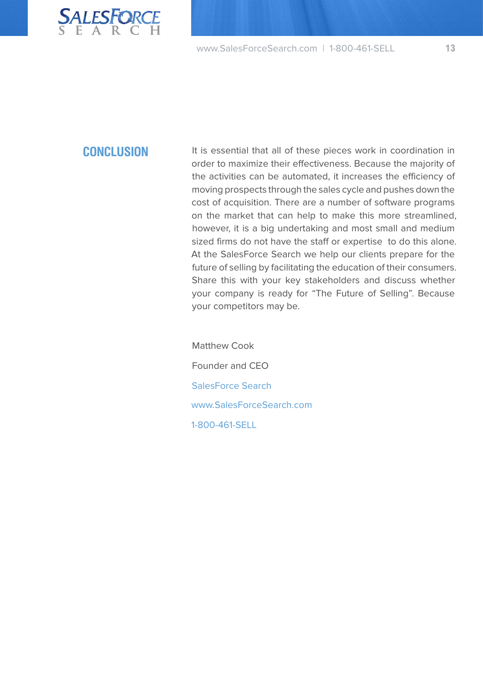

### **CONCLUSION**

It is essential that all of these pieces work in coordination in order to maximize their effectiveness. Because the majority of the activities can be automated, it increases the efficiency of moving prospects through the sales cycle and pushes down the cost of acquisition. There are a number of software programs on the market that can help to make this more streamlined, however, it is a big undertaking and most small and medium sized firms do not have the staff or expertise to do this alone. At the SalesForce Search we help our clients prepare for the future of selling by facilitating the education of their consumers. Share this with your key stakeholders and discuss whether your company is ready for "The Future of Selling". Because your competitors may be.

Matthew Cook Founder and CEO SalesForce Search www.SalesForceSearch.com 1-800-461-SELL